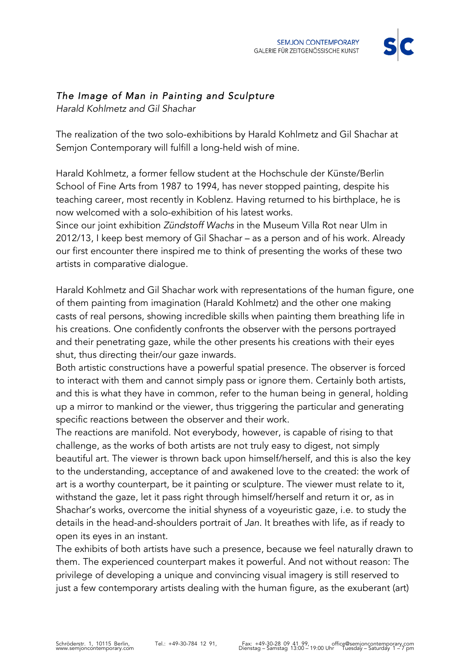

## *The Image of Man in Painting and Sculpture*

*Harald Kohlmetz and Gil Shachar* 

The realization of the two solo-exhibitions by Harald Kohlmetz and Gil Shachar at Semjon Contemporary will fulfill a long-held wish of mine.

Harald Kohlmetz, a former fellow student at the Hochschule der Künste/Berlin School of Fine Arts from 1987 to 1994, has never stopped painting, despite his teaching career, most recently in Koblenz. Having returned to his birthplace, he is now welcomed with a solo-exhibition of his latest works.

Since our joint exhibition *Zündstoff Wachs* in the Museum Villa Rot near Ulm in 2012/13, I keep best memory of Gil Shachar – as a person and of his work. Already our first encounter there inspired me to think of presenting the works of these two artists in comparative dialogue.

Harald Kohlmetz and Gil Shachar work with representations of the human figure, one of them painting from imagination (Harald Kohlmetz) and the other one making casts of real persons, showing incredible skills when painting them breathing life in his creations. One confidently confronts the observer with the persons portrayed and their penetrating gaze, while the other presents his creations with their eyes shut, thus directing their/our gaze inwards.

Both artistic constructions have a powerful spatial presence. The observer is forced to interact with them and cannot simply pass or ignore them. Certainly both artists, and this is what they have in common, refer to the human being in general, holding up a mirror to mankind or the viewer, thus triggering the particular and generating specific reactions between the observer and their work.

The reactions are manifold. Not everybody, however, is capable of rising to that challenge, as the works of both artists are not truly easy to digest, not simply beautiful art. The viewer is thrown back upon himself/herself, and this is also the key to the understanding, acceptance of and awakened love to the created: the work of art is a worthy counterpart, be it painting or sculpture. The viewer must relate to it, withstand the gaze, let it pass right through himself/herself and return it or, as in Shachar's works, overcome the initial shyness of a voyeuristic gaze, i.e. to study the details in the head-and-shoulders portrait of *Jan*. It breathes with life, as if ready to open its eyes in an instant.

The exhibits of both artists have such a presence, because we feel naturally drawn to them. The experienced counterpart makes it powerful. And not without reason: The privilege of developing a unique and convincing visual imagery is still reserved to just a few contemporary artists dealing with the human figure, as the exuberant (art)